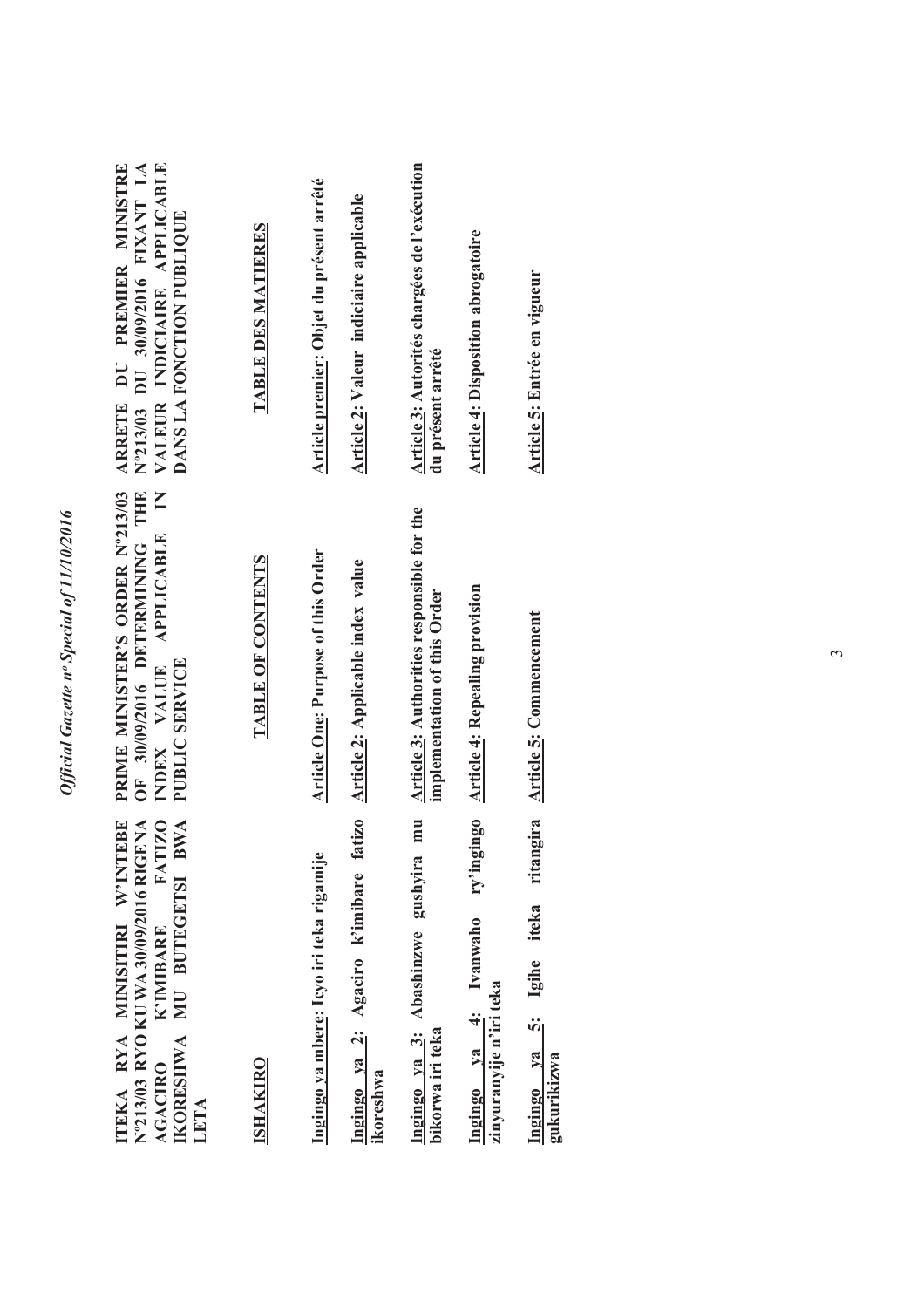| Official Gazette nº Special of 11/10/2016 |  |
|-------------------------------------------|--|
|                                           |  |
|                                           |  |

| VALEUR INDICIAIRE APPLICABLE<br>N°213/03 DU 30/09/2016 FIXANT LA<br>ARRETE DU PREMIER MINISTRE<br>DANS LA FONCTION PUBLIQUE                                    | TABLE DES MATIERES | Article premier: Objet du présent arrêté | Article 2: Valeur indiciaire applicable                | Article 3: Autorités chargées de l'exécution<br>du présent arrêté          | Article 4: Disposition abrogatoire                              | Article 5: Entrée en vigueur                |
|----------------------------------------------------------------------------------------------------------------------------------------------------------------|--------------------|------------------------------------------|--------------------------------------------------------|----------------------------------------------------------------------------|-----------------------------------------------------------------|---------------------------------------------|
| PRIME MINISTER'S ORDER Nº213/03<br>OF 30/09/2016 DETERMINING THE<br>INDEX VALUE APPLICABLE IN<br>PUBLIC SERVICE                                                | TABLE OF CONTENTS  | Article One: Purpose of this Order       | <b>Article 2: Applicable index value</b>               | Article 3: Authorities responsible for the<br>implementation of this Order | <b>Article 4: Repealing provision</b>                           | ritangira Article 5: Commencement           |
| <b>FATIZO</b><br>ITEKA RYA MINISITIRI W'INTEBE<br>N°213/03 RYO KU WA 30/09/2016 RIGENA<br>BWA<br>IKORESHWA MU BUTEGETSI<br>K'IMIBARE<br><b>AGACIRO</b><br>LETA | <b>ISHAKIRO</b>    | Ingingo ya mbere: Icyo iri teka rigamije | fatizo<br>Ingingo ya 2: Agaciro k'imibare<br>ikoreshwa | mu<br>Ingingo ya 3: Abashinzwe gushyira<br>bikorwa iri teka                | ry'ingingo<br>Ingingo ya 4: Ivanwaho<br>zinyuranyije n'iri teka | iteka<br>Ingingo ya 5: Igihe<br>gukurikizwa |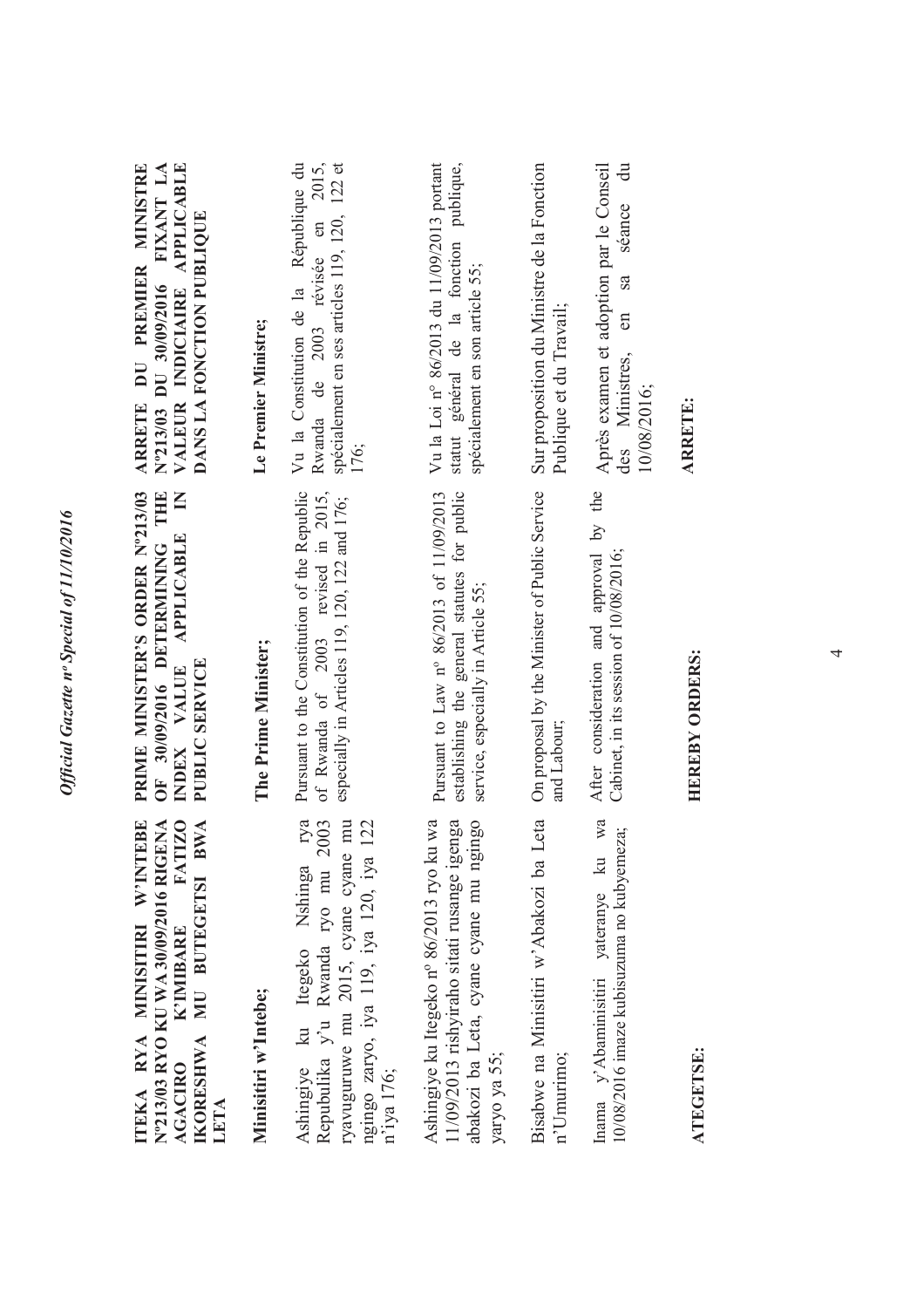| <b>EBE</b><br>ITEKA RYA MINISITIRI W'INTI                                                                                                                                          | PRIME MINISTER'S ORDER Nº213/03                                                                                                     | ARRETE DU PREMIER MINISTRE                                                                                                         |
|------------------------------------------------------------------------------------------------------------------------------------------------------------------------------------|-------------------------------------------------------------------------------------------------------------------------------------|------------------------------------------------------------------------------------------------------------------------------------|
| N°213/03 RYO KU WA 30/09/2016 RIGENA<br><b>FATIZO</b><br>IKORESHWA MU BUTEGETSI BWA<br>K'IMIBARE<br><b>AGACIRO</b><br>LETA                                                         | OF 30/09/2016 DETERMINING THE<br>APPLICABLE IN<br>INDEX VALUE<br>PUBLIC SERVICE                                                     | VALEUR INDICIAIRE APPLICABLE<br>N°213/03 DU 30/09/2016 FIXANT LA<br>DANS LA FONCTION PUBLIQUE                                      |
| Minisitiri w'Intebe;                                                                                                                                                               | The Prime Minister;                                                                                                                 | Le Premier Ministre;                                                                                                               |
| rya<br>mu<br>122<br>Ashingiye ku Itegeko Nshinga rya<br>Repubulika y'u Rwanda ryo mu 2003<br>ryavuguruwe mu 2015, cyane cyane<br>ngingo zaryo, iya 119, iya 120, iya<br>n'iya 176; | Pursuant to the Constitution of the Republic<br>of Rwanda of 2003 revised in 2015,<br>especially in Articles 119, 120, 122 and 176; | Vu la Constitution de la République du<br>Rwanda de 2003 révisée en 2015,<br>spécialement en ses articles 119, 120, 122 et<br>176; |
| Ashingiye ku Itegeko nº 86/2013 ryo ku wa<br>11/09/2013 rishyiraho sitati rusange igenga<br>abakozi ba Leta, cyane cyane mu ngingo<br>yaryo ya 55;                                 | Pursuant to Law nº 86/2013 of 11/09/2013<br>establishing the general statutes for public<br>service, especially in Article 55;      | Vu la Loi n° 86/2013 du 11/09/2013 portant<br>statut général de la fonction publique,<br>spécialement en son article 55;           |
| Bisabwe na Minisitiri w'Abakozi ba Leta<br>n'Umurimo;                                                                                                                              | On proposal by the Minister of Public Service<br>and Labour;                                                                        | Sur proposition du Ministre de la Fonction<br>Publique et du Travail;                                                              |
| wa<br>10/08/2016 imaze kubisuzuma no kubyemeza;<br>Inama y'Abaminisitiri yateranye ku                                                                                              | After consideration and approval by the<br>Cabinet, in its session of 10/08/2016;                                                   | Après examen et adoption par le Conseil<br>$\ddot{a}$<br>séance<br>sa<br>en<br>des Ministres,<br>10/08/2016;                       |
| <b>ATEGETSE:</b>                                                                                                                                                                   | <b>HEREBY ORDERS:</b>                                                                                                               | <b>ARRETE:</b>                                                                                                                     |

*Official Gazette nᵒ Special of 11/10/2016*

Official Gazette nº Special of 11/10/2016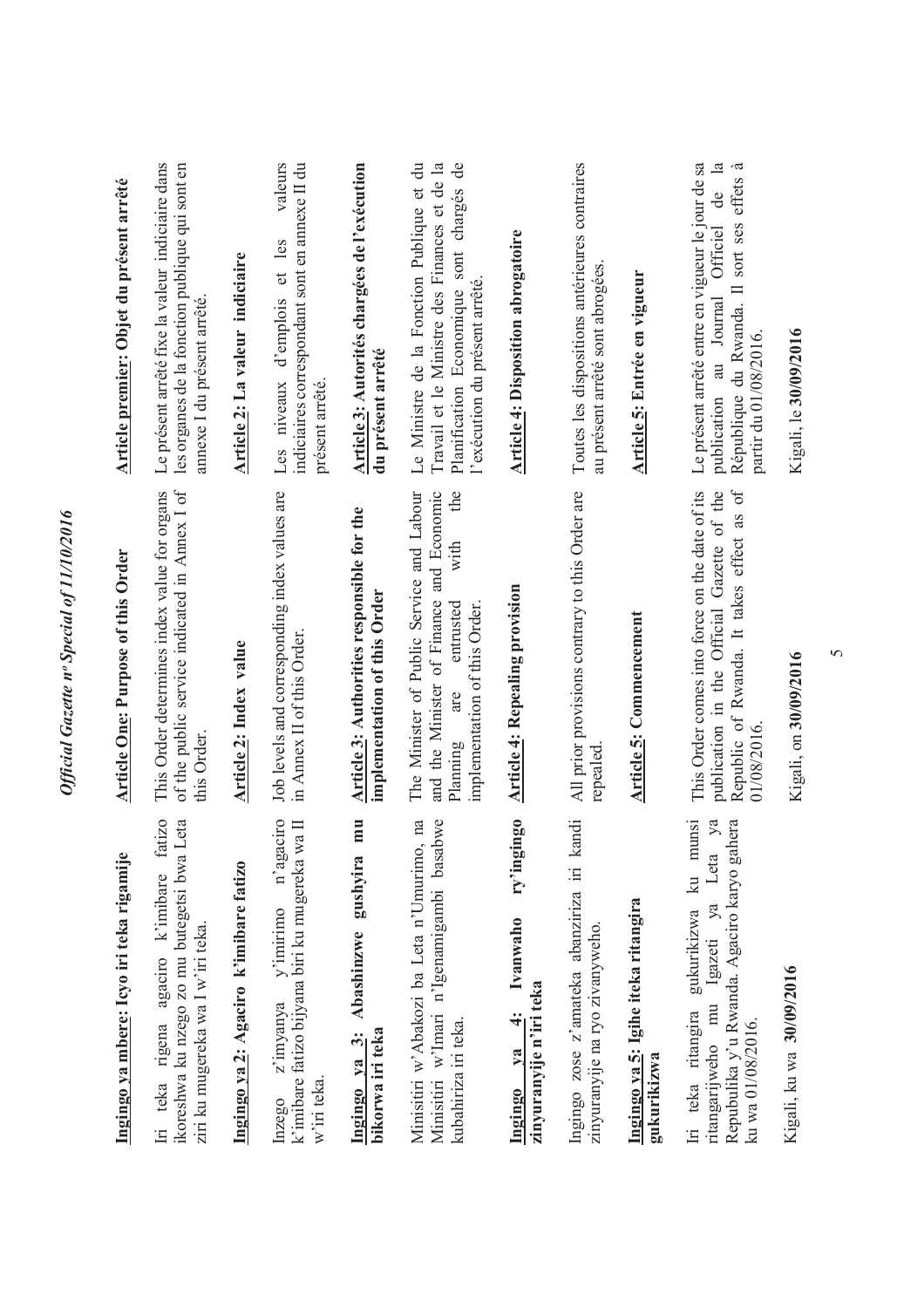| Ingingo ya mbere: Icyo iri teka rigamije                                                                                                                  | <b>Article One: Purpose of this Order</b>                                                                                                                             | Article premier: Objet du présent arrêté                                                                                                                                                     |
|-----------------------------------------------------------------------------------------------------------------------------------------------------------|-----------------------------------------------------------------------------------------------------------------------------------------------------------------------|----------------------------------------------------------------------------------------------------------------------------------------------------------------------------------------------|
| fatizo<br>ikoreshwa ku nzego zo mu butegetsi bwa Leta<br>Iri teka rigena agaciro k'imibare<br>ziri ku mugereka wa I w'iri teka.                           | of the public service indicated in Annex I of<br>This Order determines index value for organs<br>this Order                                                           | Le présent arrêté fixe la valeur indiciaire dans<br>les organes de la fonction publique qui sont en<br>annexe I du présent arrêté.                                                           |
| Ingingo ya 2: Agaciro k'imibare fatizo                                                                                                                    | <b>Article 2: Index value</b>                                                                                                                                         | Article 2: La valeur indiciaire                                                                                                                                                              |
| n'agaciro<br>k'imibare fatizo bijyana biri ku mugereka wa II<br>$v'$ imirimo<br>z'imyanya<br>w'iri teka.<br>Inzego                                        | Job levels and corresponding index values are<br>in Annex II of this Order.                                                                                           | valeurs<br>indiciaires correspondant sont en annexe II du<br>et les<br>d'emplois<br>Les niveaux<br>présent arrêté.                                                                           |
| mu<br>Abashinzwe gushyira<br>$\ddot{3}$<br>bikorwa iri teka<br>Ingingo ya                                                                                 | Article 3: Authorities responsible for the<br>implementation of this Order                                                                                            | Article 3: Autorités chargées de l'exécution<br>du présent arrêté                                                                                                                            |
| Minisitiri w'Abakozi ba Leta n'Umurimo, na<br>Minisitiri w'Imari n'Igenamigambi basabwe<br>kubahiriza iri teka.                                           | and the Minister of Finance and Economic<br>the<br>The Minister of Public Service and Labour<br>with<br>entrusted<br>implementation of this Order.<br>are<br>Planning | Le Ministre de la Fonction Publique et du<br>Travail et le Ministre des Finances et de la<br>Planification Economique sont chargés de<br>l'exécution du présent arrêté.                      |
| ry'ingingo<br>Ivanwaho<br>zinyuranyije n'iri teka<br>$\ddot{ }$<br>$y_a$<br>Ingingo                                                                       | <b>Article 4: Repealing provision</b>                                                                                                                                 | <b>Article 4: Disposition abrogatoire</b>                                                                                                                                                    |
| kandi<br>Ingingo zose z'amateka abanziriza iri<br>zinyuranyije na ryo zivanyweho.                                                                         | All prior provisions contrary to this Order are<br>repealed                                                                                                           | Toutes les dispositions antérieures contraires<br>au présent arrêté sont abrogées.                                                                                                           |
| Ingingo ya 5: Igihe iteka ritangira<br>gukurikizwa                                                                                                        | Article 5: Commencement                                                                                                                                               | Article 5: Entrée en vigueur                                                                                                                                                                 |
| gukurikizwa ku munsi<br>ya<br>Repubulika y'u Rwanda. Agaciro karyo gahera<br>ritangarijweho mu Igazeti ya Leta<br>Iri teka ritangira<br>ku wa 01/08/2016. | Republic of Rwanda. It takes effect as of<br>This Order comes into force on the date of its<br>publication in the Official Gazette of the<br>01/08/2016.              | Le présent arrêté entre en vigueur le jour de sa<br>$\mathbb{E}$<br>à<br>Il sort ses effets<br>ප්<br>Officiel<br>au Journal<br>République du Rwanda.<br>partir du 01/08/2016.<br>publication |
| Kigali, ku wa 30/09/2016                                                                                                                                  | Kigali, on 30/09/2016                                                                                                                                                 | Kigali, le 30/09/2016                                                                                                                                                                        |

*Official Gazette nᵒ Special of 11/10/2016*

Official Gazette nº Special of 11/10/2016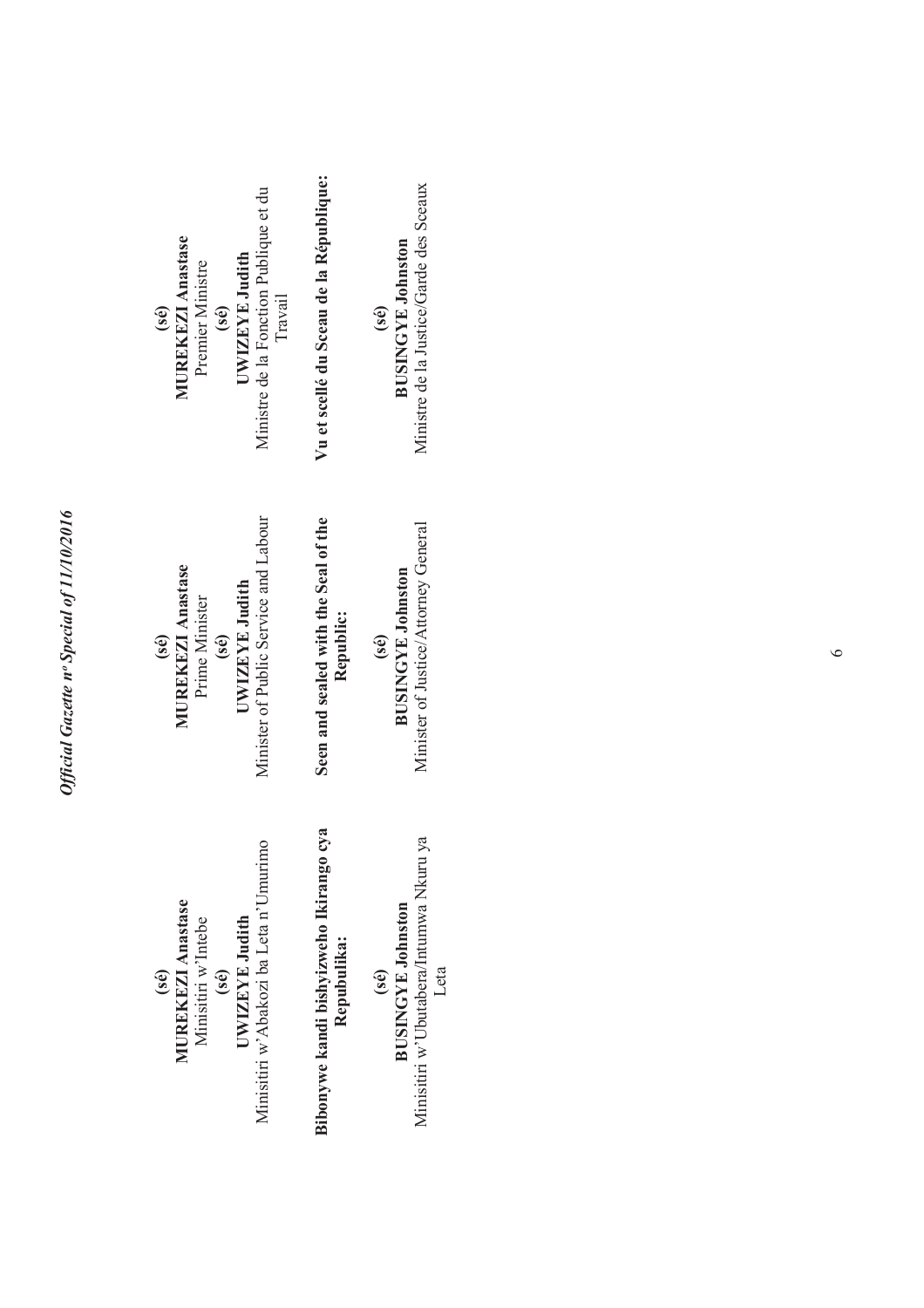Minisitiri w'Abakozi ba Leta n'Umurimo Minisitiri w'Abakozi ba Leta n'Umurimo **(sé) MUREKEZI Anastase UWIZEYE Judith**  Minisitiri w'Intebe UWIZEYE Judith Minisitiri w'Intebe **(sé)** 

Bibonywe kandi bishyizweho Ikirango cya **Bibonywe kandi bishyizweho Ikirango cya**  Repubulika: **Repubulika:** 

Minisitiri w'Ubutabera/Intumwa Nkuru ya Minisitiri w'Ubutabera/Intumwa Nkuru ya **BUSINGYE Johnston BUSINGYE Johnston**  Leta **(sé)** 

Minister of Public Service and Labour Minister of Public Service and Labour **(sé) MUREKEZI Anastase**  UWIZEYE Judith **UWIZEYE Judith**  Prime Minister Prime Minister **(sé)** 

Seen and sealed with the Seal of the **Seen and sealed with the Seal of the Republic:** 

Minister of Justice/Attorney General Minister of Justice/Attorney General **BUSINGYE Johnston BUSINGYE Johnston (sé)** 

Ministre de la Fonction Publique et du Ministre de la Fonction Publique et du **(sé) MUREKEZI Anastase UWIZEYE Judith (sé)**  Premier Ministre Premier Ministre Travail

**Vu et scellé du Sceau de la République:**  Vu et scellé du Sceau de la République:

Ministre de la Justice/Garde des Sceaux Ministre de la Justice/Garde des Sceaux **(sé) BUSINGYE Johnston**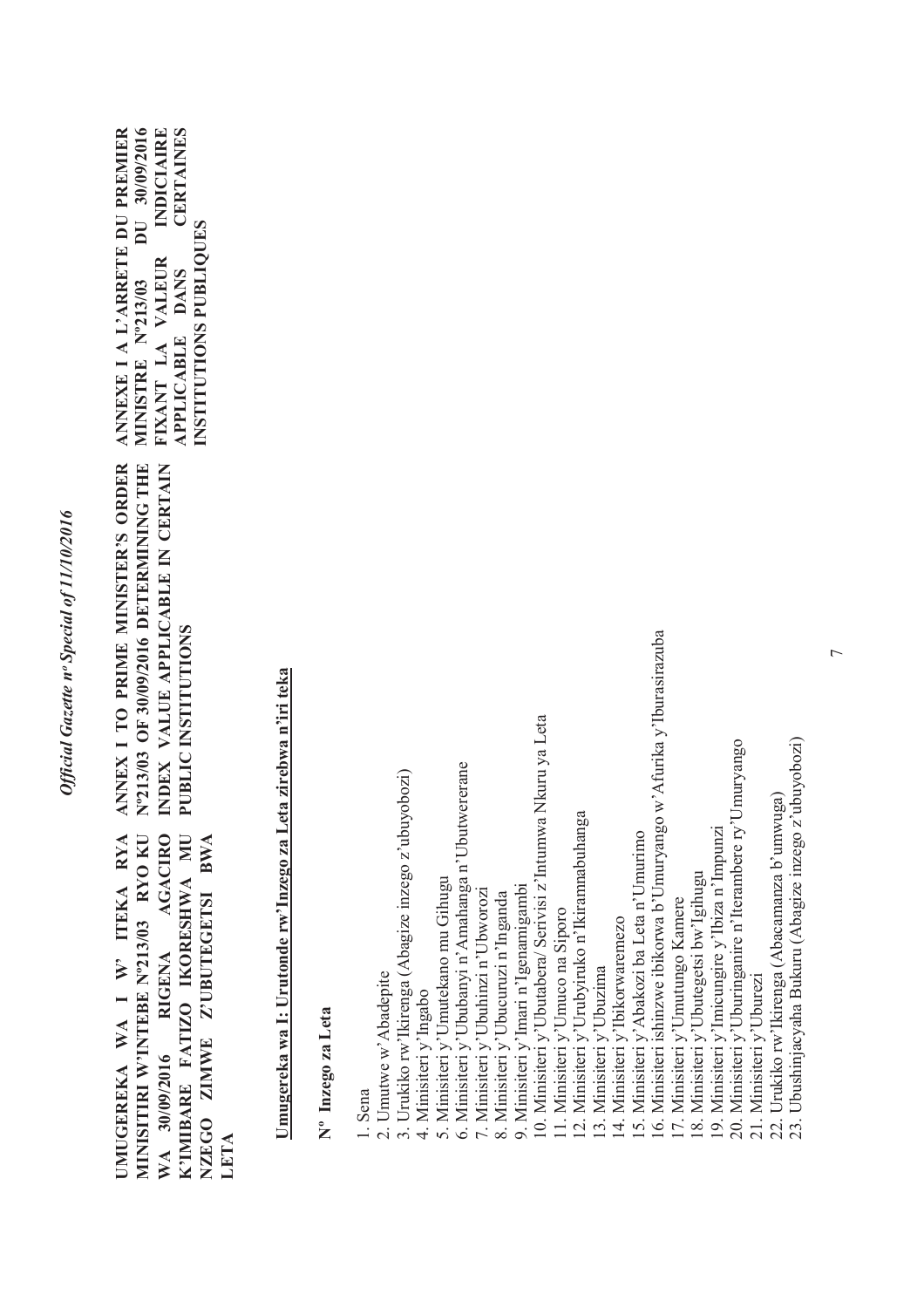ANNEX I TO PRIME MINISTER'S ORDER N°213/03 OF 30/09/2016 DETERMINING THE **Nº213/03 OF 30/09/2016 DETERMINING THE ANNEX I TO PRIME MINISTER'S ORDER**  INDEX VALUE APPLICABLE IN CERTAIN **INDEX VALUE APPLICABLE IN CERTAIN**  PUBLIC INSTITUTIONS **PUBLIC INSTITUTIONS** MINISITIRI W'INTEBE Nº213/03 RYO KU WA 30/09/2016 RIGENA AGACIRO K'IMIBARE FATIZO IKORESHWA MU UMUGEREKA WA I W' ITEKA RYA **UMUGEREKA WA I W' ITEKA RYA MINISITIRI W'INTEBE Nº213/03 RYO KU WA 30/09/2016 RIGENA AGACIRO K'IMIBARE FATIZO IKORESHWA MU NZEGO ZIMWE Z'UBUTEGETSI BWA**  NZEGO ZIMWE Z'UBUTEGETSI BWA **LETA**

**ANNEXE I A L'ARRETE DU PREMIER**  DU 30/09/2016 **MINISTRE Nº213/03 DU 30/09/2016 FIXANT LA VALEUR INDICIAIRE CERTAINES APPLICABLE DANS CERTAINES**  ANNEXE I A L'ARRETE DU PREMIER **INDICIAIRE INSTITUTIONS PUBLIQUES**  NSTITUTIONS PUBLIOUES FIXANT LA VALEUR MINISTRE N°213/03 **APPLICABLE DANS** 

> Umugereka wa I: Urutonde rw'Inzego za Leta zirebwa n'iri teka **Umugereka wa I: Urutonde rw'Inzego za Leta zirebwa n'iri teka**

**Nº Inzego za Leta**  Nº Inzego za Leta 1. Sena<br>2. Umutwe w'Abadepite 2. Umutwe w'Abadepite

3. Urukiko rw'Ikirenga (Abagize inzego z'ubuyobozi) 3. Urukiko rw'Ikirenga (Abagize inzego z'ubuyobozi)

4. Minisiteri y'Ingabo 4. Minisiteri y'Ingabo

5. Minisiteri y'Umutekano mu Gihugu 5. Minisiteri y'Umutekano mu Gihugu

6. Minisiteri y'Ububanyi n'Amahanga n'Ubutwererane 6. Minisiteri y'Ububanyi n'Amahanga n'Ubutwererane

7. Minisiteri y'Ubuhinzi n'Ubworozi 7. Minisiteri y'Ubuhinzi n'Ubworozi

8. Minisiteri y'Ubucuruzi n'Inganda 8. Minisiteri y'Ubucuruzi n'Inganda

9. Minisiteri y'Imari n'Igenamigambi 9. Minisiteri y'Imari n'Igenamigambi

10. Minisiteri y'Ubutabera/ Serivisi z'Intumwa Nkuru ya Leta 10. Minisiteri y'Ubutabera/ Serivisi z'Intumwa Nkuru ya Leta

11. Minisiteri y'Umuco na Siporo 11. Minisiteri y'Umuco na Siporo

12. Minisiteri y'Urubyiruko n'Ikiranmabuhanga 12. Minisiteri y'Urubyiruko n'Ikiramnabuhanga

13. Minisiteri y'Ubuzima 13. Minisiteri y'Ubuzima

4. Minisiteri v'Ibikorwaremezo 14. Minisiteri y'Ibikorwaremezo

15. Minisiteri y'Abakozi ba Leta n'Umurimo 15. Minisiteri y'Abakozi ba Leta n'Umurimo

6. Minisiteri ishinzwe ibikorwa b'Umuryango w'Afurika y'Iburasirazuba 16. Minisiteri ishinzwe ibikorwa b'Umuryango w'Afurika y'Iburasirazuba

17. Minisiteri y'Umutungo Kamere 17. Minisiteri y'Umutungo Kamere

18. Minisiteri y'Ubutegetsi bw'Igihugu 18. Minisiteri y'Ubutegetsi bw'Igihugu

19. Minisiteri y'Imicungire y'Ibiza n'Impunzi 19. Minisiteri y'Imicungire y'Ibiza n'Impunzi

20. Minisiteri y'Uburinganire n'Iterambere ry'Umuryango 20. Minisiteri y'Uburinganire n'Iterambere ry'Umuryango

21. Minisiteri y'Uburezi 21. Minisiteri y'Uburezi

22. Urukiko rw'Ikirenga (Abacamanza b'umwuga)<br>23. Ubushinjacyaha Bukuru (Abagize inzego z'ubuyobozi) 22. Urukiko rw'Ikirenga (Abacamanza b'umwuga)

23. Ubushinjacyaha Bukuru (Abagize inzego z'ubuyobozi)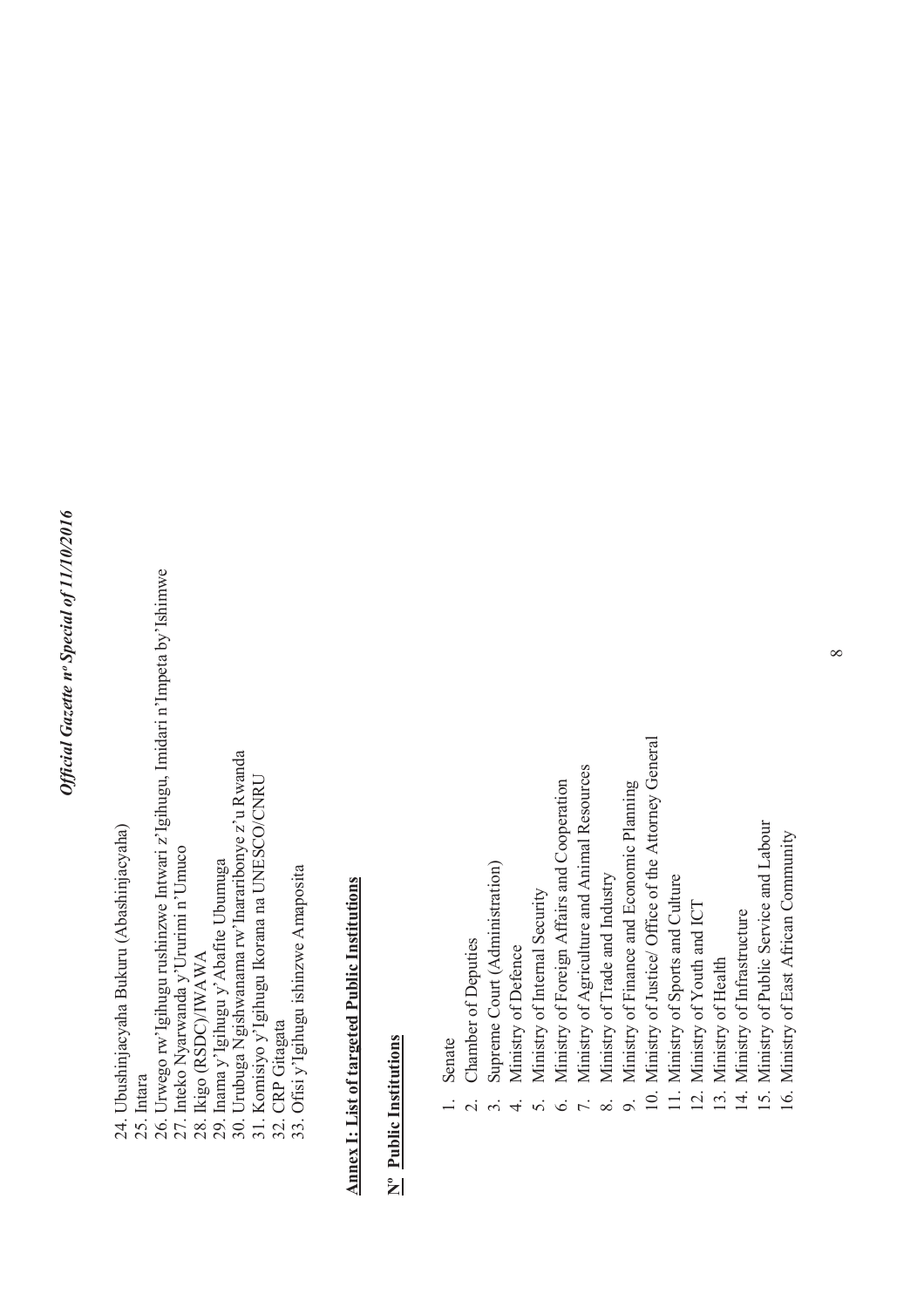- 24. Ubushinjacyaha Bukuru (Abashinjacyaha) 24. Ubushinjacyaha Bukuru (Abashinjacyaha)
	-
- 25. Intara<br>26. Urwego rw'lgihugu rushinzwe Intwari z'lgihugu, Imidari n'Impeta by'Ishimwe 26. Urwego rw'Igihugu rushinzwe Intwari z'Igihugu, Imidari n'Impeta by'Ishimwe
	- 27. Inteko Nyarwanda y'Ururimi n'Umuco 27. Inteko Nyarwanda y'Ururimi n'Umuco
		- 28. Ikigo (RSDC)/IWAWA 28. Ikigo (RSDC)/IWAWA
- 29. Inama y'Igihugu y'Abafite Ubumuga<br>30. Urubuga Ngishwanana rw'Inararibonye z'u Rwanda 29. Inama y'Igihugu y'Abafite Ubumuga
- 30. Urubuga Ngishwanama rw'Inararibonye z'u Rwanda
	- 31. Komisiyo y'Igihugu Ikorana na UNESCO/CNRU
		- 32. CRP Gitagata
	- 31. Komisiyo y<sup>7</sup>Igihugu Ikorana na UNESCO/CNRU<br>32. CRP Gitagata<br>33. Ofisi y<sup>7</sup>Igihugu ishinzwe Amaposita 33. Ofisi y'Igihugu ishinzwe Amaposita

## **Annex I: List of targeted Public Institutions Annex I: List of targeted Public Institutions**

#### **Nº Public Institutions**  N<sup>o</sup> Public Institutions

- Senate
- Chamber of Deputies 2. Chamber of Deputies  $\overline{a}$
- 3. Supreme Court (Administration) Supreme Court (Administration)  $\ddot{\delta}$
- Ministry of Defence 4. Ministry of Defence  $\vec{r}$
- 5. Ministry of Internal Security Ministry of Internal Security  $50000$
- Ministry of Foreign Affairs and Cooperation 6. Ministry of Foreign Affairs and Cooperation
- 7. Ministry of Agriculture and Animal Resources Ministry of Agriculture and Animal Resources
- 8. Ministry of Trade and Industry Ministry of Trade and Industry
- 9. Ministry of Finance and Economic Planning Ministry of Finance and Economic Planning  $\mathfrak{D}$
- 10. Ministry of Justice/ Office of the Attorney General 10. Ministry of Justice/ Office of the Attorney General
	- 11. Ministry of Sports and Culture 11. Ministry of Sports and Culture
		- 12. Ministry of Youth and ICT 12. Ministry of Youth and ICT
			- 13. Ministry of Health 13. Ministry of Health
- 14. Ministry of Infrastructure 14. Ministry of Infrastructure
- 15. Ministry of Public Service and Labour 15. Ministry of Public Service and Labour
	- 16. Ministry of East African Community 16. Ministry of East African Community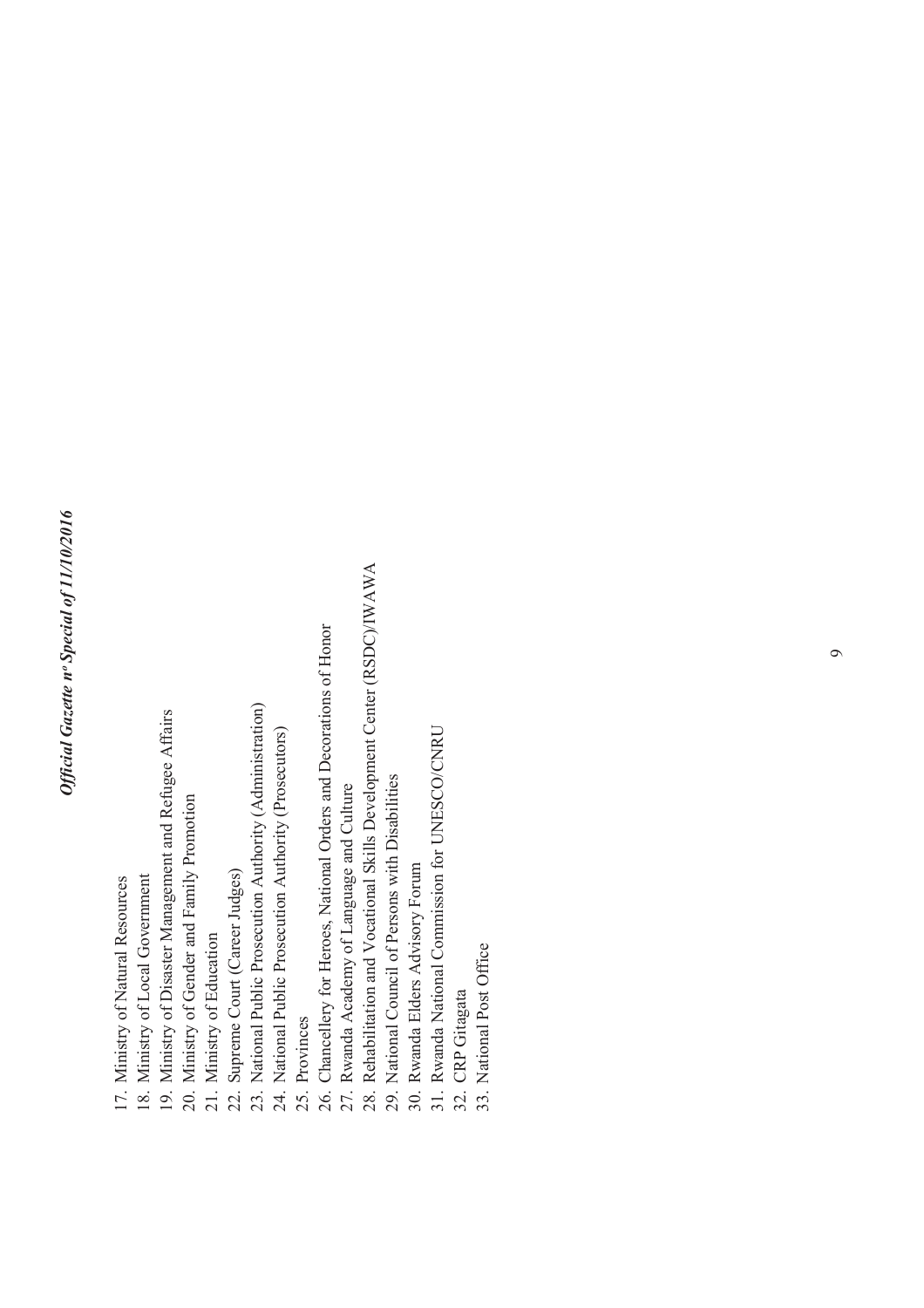- 17. Ministry of Natural Resources 17. Ministry of Natural Resources
	- 18. Ministry of Local Government 18. Ministry of Local Government
- 19. Ministry of Disaster Management and Refugee Affairs 19. Ministry of Disaster Management and Refugee Affairs
	- 20. Ministry of Gender and Family Promotion 20. Ministry of Gender and Family Promotion
		- 21. Ministry of Education 21. Ministry of Education
- 22. Supreme Court (Career Judges) 22. Supreme Court (Career Judges)
- 23. National Public Prosecution Authority (Administration) 23. National Public Prosecution Authority (Administration)
	- 24. National Public Prosecution Authority (Prosecutors) 24. National Public Prosecution Authority (Prosecutors)
		- 25. Provinces 25. Provinces
- 26. Chancellery for Heroes, National Orders and Decorations of Honor 26. Chancellery for Heroes, National Orders and Decorations of Honor
	- 27. Rwanda Academy of Language and Culture 27. Rwanda Academy of Language and Culture
- 28. Rehabilitation and Vocational Skills Development Center (RSDC)/IWAWA 28. Rehabilitation and Vocational Skills Development Center (RSDC)/IWAWA
	- 29. National Council of Persons with Disabilities 29. National Council of Persons with Disabilities
- 30. Rwanda Elders Advisory Forum 30. Rwanda Elders Advisory Forum
- 31. Rwanda National Commission for UNESCO/CNRU 31. Rwanda National Commission for UNESCO/CNRU
	- 32. CRP Gitagata 32. CRP Gitagata
- 33. National Post Office 33. National Post Office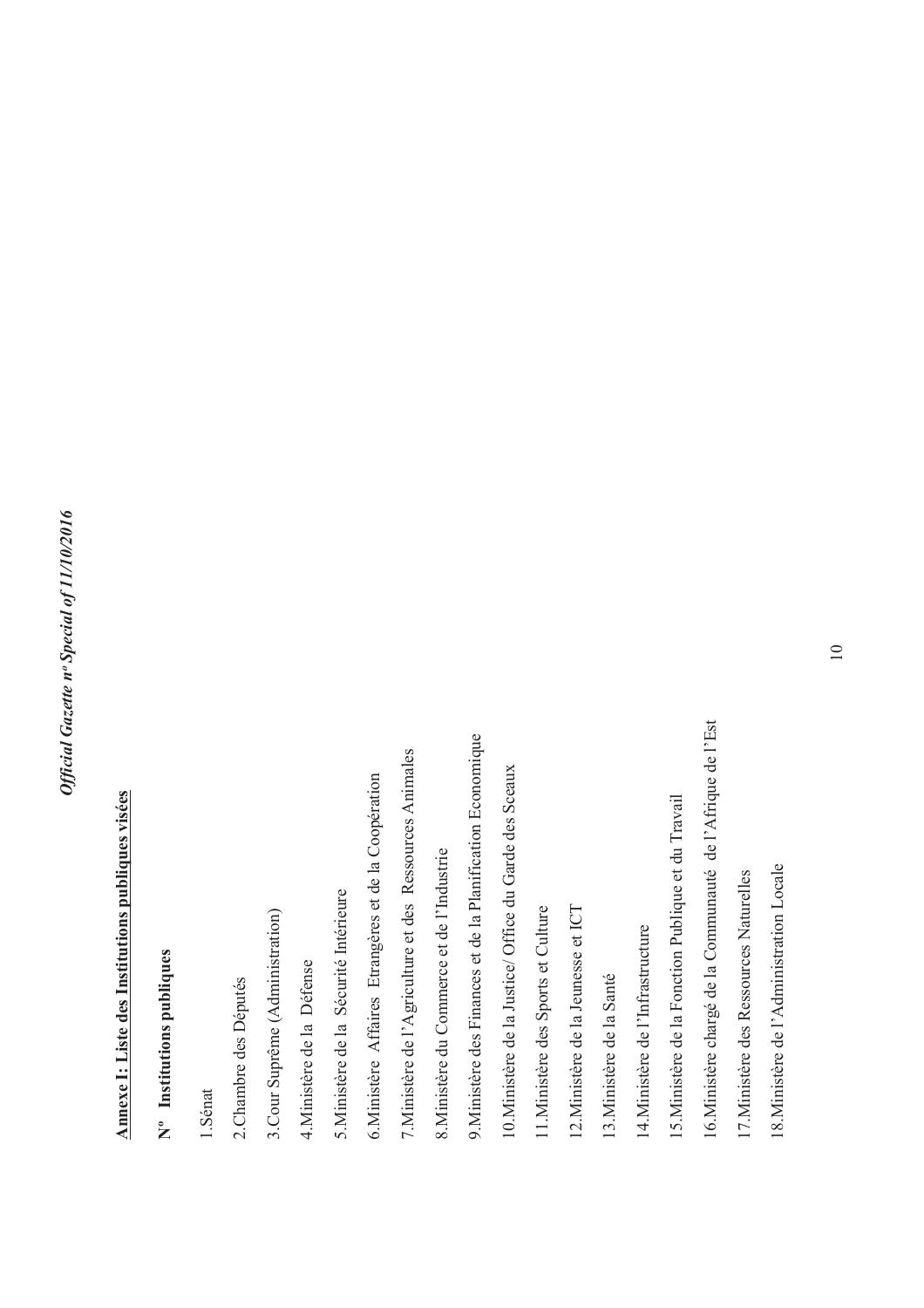# Annexe I: Liste des Institutions publiques visées **Annexe I: Liste des Institutions publiques visées**

### **Nº Institutions publiques**  N° Institutions publiques

1.Sénat

2. Chambre des Députés 2.Chambre des Députés 3. Cour Suprême (Administration) 3.Cour Suprême (Administration)

4. Ministère de la Défense 4.Ministère de la Défense 5. Ministère de la Sécurité Intérieure 5.Ministère de la Sécurité Intérieure 6. Ministère Affaires Etrangères et de la Coopération 6.Ministère Affaires Etrangères et de la Coopération 7. Ministère de l'Agriculture et des Ressources Animales 7.Ministère de l'Agriculture et des Ressources Animales

8. Ministère du Commerce et de l'Industrie 8.Ministère du Commerce et de l'Industrie

9.Ministère des Finances et de la Planification Economique 9. Ministère des Finances et de la Planification Economique

10. Ministère de la Justice/ Office du Garde des Sceaux 10.Ministère de la Justice/ Office du Garde des Sceaux

11. Ministère des Sports et Culture 11.Ministère des Sports et Culture

12.Ministère de la Jeunesse et ICT 12. Ministère de la Jeunesse et ICT

13. Ministère de la Santé 13.Ministère de la Santé 14. Ministère de l'Infrastructure 14.Ministère de l'Infrastructure

15.Ministère de la Fonction Publique et du Travail 15. Ministère de la Fonction Publique et du Travail 16. Ministère chargé de la Communauté de l'Afrique de l'Est 16.Ministère chargé de la Communauté de l'Afrique de l'Est

17. Ministère des Ressources Naturelles 17.Ministère des Ressources Naturelles 18. Ministère de l'Administration Locale 18.Ministère de l'Administration Locale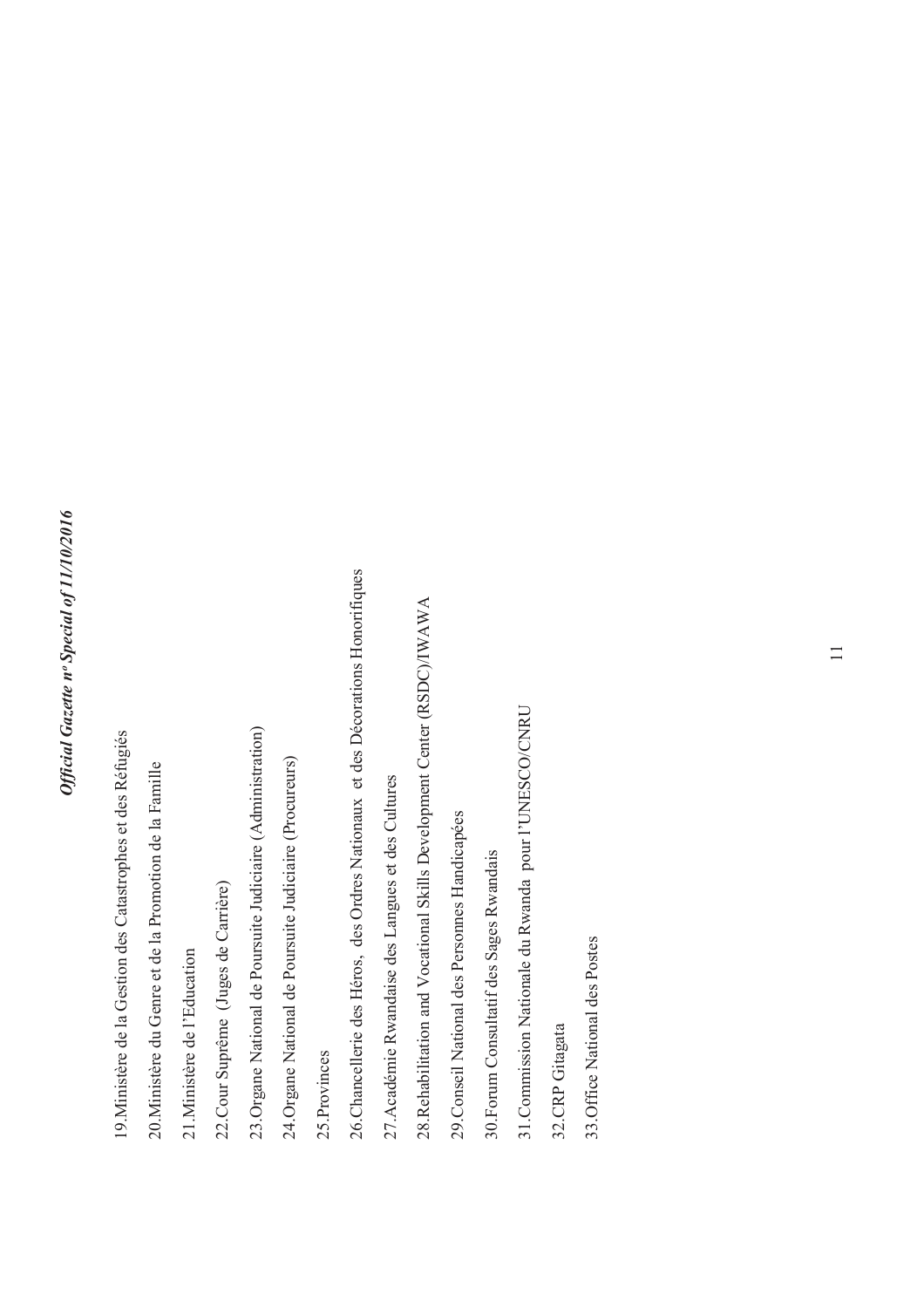- 19.Ministère de la Gestion des Catastrophes et des Réfugiés 19. Ministère de la Gestion des Catastrophes et des Réfugiés
- 20. Ministère du Genre et de la Promotion de la Famille 20.Ministère du Genre et de la Promotion de la Famille
- 21. Ministère de l'Education 21.Ministère de l'Education
- 22.Cour Suprême (Juges de Carrière) 22. Cour Suprême (Juges de Carrière)
- 23. Organe National de Poursuite Judiciaire (Administration) 23.Organe National de Poursuite Judiciaire (Administration)
- 24. Organe National de Poursuite Judiciaire (Procureurs) 24.Organe National de Poursuite Judiciaire (Procureurs)
- 25. Provinces 25.Provinces
- 26. Chancellerie des Héros, des Ordres Nationaux et des Décorations Honorifiques 26.Chancellerie des Héros, des Ordres Nationaux et des Décorations Honorifiques
- 27. Académie Rwandaise des Langues et des Cultures 27.Académie Rwandaise des Langues et des Cultures
- 28.Rehabilitation and Vocational Skills Development Center (RSDC)/IWAWA 28. Rehabilitation and Vocational Skills Development Center (RSDC)/IWAWA
- 29. Conseil National des Personnes Handicapées 29.Conseil National des Personnes Handicapées
- 30. Forum Consultatif des Sages Rwandais 30.Forum Consultatif des Sages Rwandais
- 31. Commission Nationale du Rwanda pour l'UNESCO/CNRU 31.Commission Nationale du Rwanda pour l'UNESCO/CNRU
- 32.CRP Gitagata 32.CRP Gitagata
- 33. Office National des Postes 33.Office National des Postes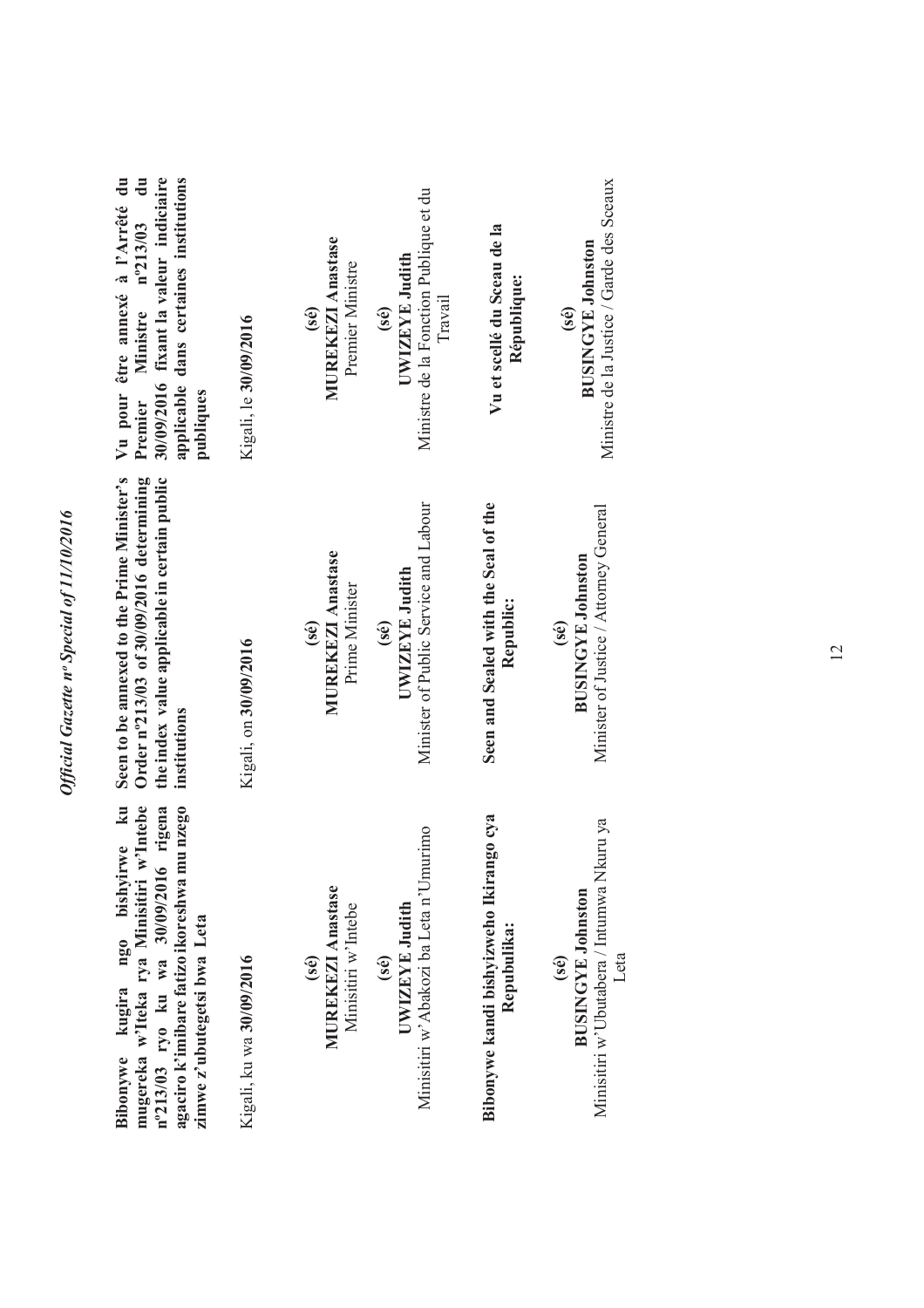| 30/09/2016 fixant la valeur indiciaire<br>applicable dans certaines institutions<br>Vu pour être annexé à l'Arrêté du<br>Ministre nº213/03 du<br>Premier<br>publiques                                                       | Kigali, le 30/09/2016    | <b>MUREKEZI Anastase</b><br>Premier Ministre<br>(sé)                               | Ministre de la Fonction Publique et du<br>UWIZEYE Judith<br>Travail<br>(sé) | Vu et scellé du Sceau de la<br>République:             | Ministre de la Justice / Garde des Sceaux<br><b>BUSINGYE Johnston</b><br>(sé)         |
|-----------------------------------------------------------------------------------------------------------------------------------------------------------------------------------------------------------------------------|--------------------------|------------------------------------------------------------------------------------|-----------------------------------------------------------------------------|--------------------------------------------------------|---------------------------------------------------------------------------------------|
| Seen to be annexed to the Prime Minister's<br>Order n°213/03 of 30/09/2016 determining<br>the index value applicable in certain public<br>institutions                                                                      | Kigali, on 30/09/2016    | <b>MUREKEZI Anastase</b><br>Prime Minister<br>$(\mathbf{\hat{s}}\mathbf{\hat{e}})$ | Minister of Public Service and Labour<br>UWIZEYE Judith<br>(sé)             | Seen and Sealed with the Seal of the<br>Republic:      | Minister of Justice / Attorney General<br><b>BUSINGYE Johnston</b><br>(sé)            |
| $\mathbf{k}$<br>w'Intebe<br>agaciro k'imibare fatizo ikoreshwa mu nzego<br>rigena<br>ngo bishyirwe<br>n°213/03 ryo ku wa 30/09/2016<br>mugereka w'Iteka rya Minisitiri<br>zimwe z'ubutegetsi bwa Leta<br>kugira<br>Bibonywe | Kigali, ku wa 30/09/2016 | <b>MUREKEZI Anastase</b><br>Minisitiri w'Intebe<br>(se)                            | Minisitiri w'Abakozi ba Leta n'Umurimo<br>UWIZEYE Judith<br>(sé)            | Bibonywe kandi bishyizweho Ikirango cya<br>Repubulika: | Minisitiri w'Ubutabera / Intumwa Nkuru ya<br><b>BUSINGYE Johnston</b><br>Leta<br>(sé) |

*Official Gazette nᵒ Special of 11/10/2016*

Official Gazette nº Special of 11/10/2016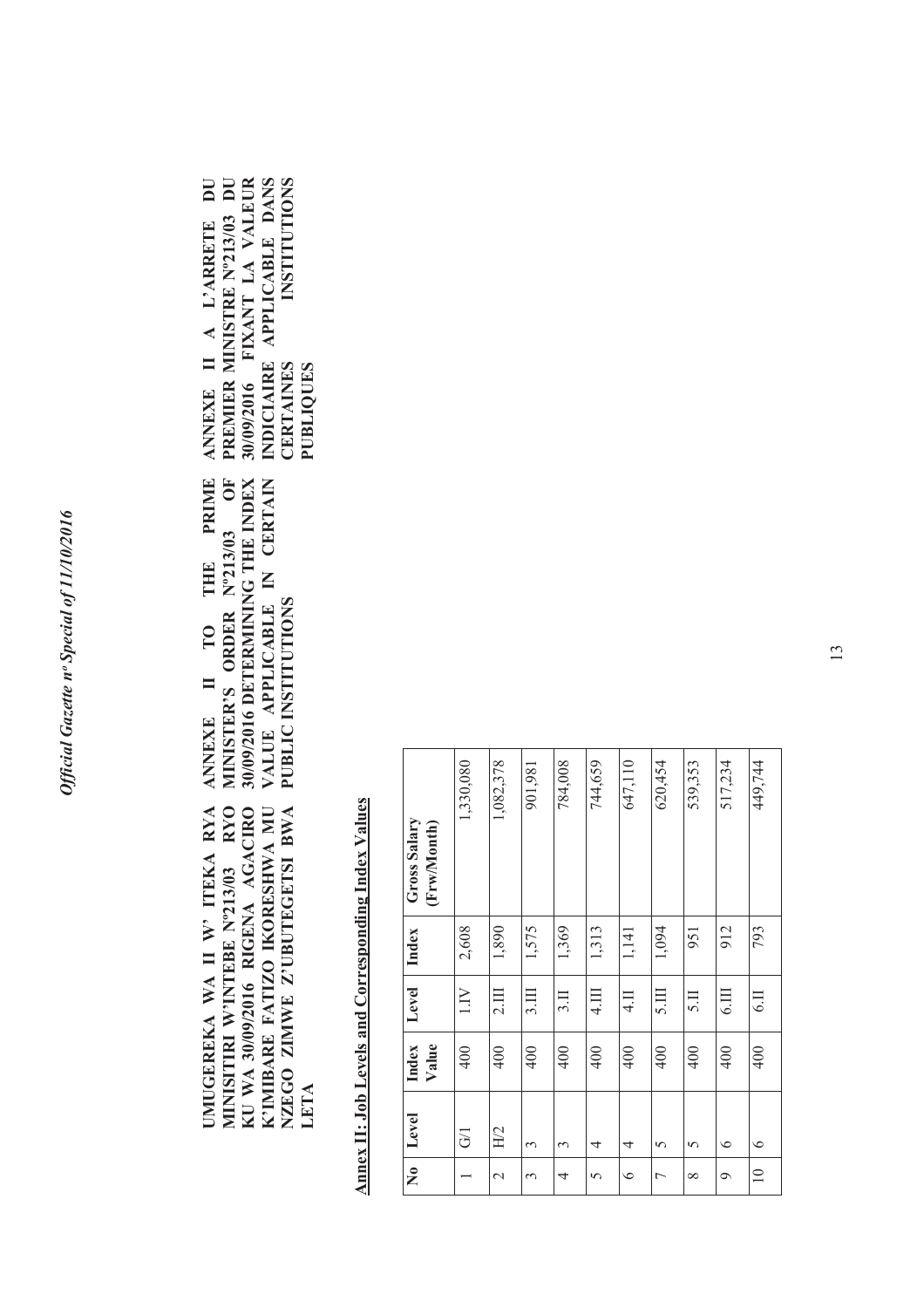**ANNEXE II** KU WA 30/09/2016 RIGENA AGACIRO K'IMIBARE FATIZO IKORESHWA MU NZEGO ZIMWE Z'UBUTEGETSI BWA MINISITIRI W'INTEBE Nº213/03 RYO UMUGEREKA WA II W' ITEKA RYA **UMUGEREKA WA II W' ITEKA RYA MINISITIRI W'INTEBE Nº213/03 RYO KU WA 30/09/2016 RIGENA AGACIRO K'IMIBARE FATIZO IKORESHWA MU NZEGO ZIMWE Z'UBUTEGETSI BWA LETA**

ANNEXE II A L'ARRETE DU **PRIME ANNEXE II TO THE PRIME**  MINISTER'S ORDER Nº213/03 OF **MINISTER'S ORDER Nº213/03 OF 30/09/2016 DETERMINING THE INDEX VALUE APPLICABLE IN CERTAIN**  30/09/2016 DETERMINING THE INDEX VALUE APPLICABLE IN CERTAIN THE **PUBLIC INSTITUTIONS**  PUBLIC INSTITUTIONS TO

**ANNEXE II A L'ARRETE DU PREMIER MINISTRE Nº213/03 DU 30/09/2016 FIXANT LA VALEUR INDICIAIRE APPLICABLE DANS CERTAINES INSTITUTIONS**  30/09/2016 FIXANT LA VALEUR INDICIAIRE APPLICABLE DANS PREMIER MINISTRE N°213/03 DU **INSTITUTIONS CERTAINES PUBLIQUES**

> **Annex II: Job Levels and Corresponding Index Values Annex II: Job Levels and Corresponding Index Values**

|         | Level<br>H/2<br>$\overline{G}$<br>3<br>3<br>4<br>4<br>5<br>5 | Index<br>Value<br>400<br>400<br>400<br>400<br>400<br>400<br>400<br>400 | Level<br>1.1V<br>3.111<br>4.111<br>5.111<br>2.111<br>3.11<br>4.1<br>5.11 | 1,575<br>2,608<br>1,369<br>1,313<br>1,094<br>1,890<br>Index<br>1,141<br>951 | 647,110<br>1,082,378<br>784,008<br>1,330,080<br>744,659<br>620,454<br>539,353<br>901,981<br><b>Gross Salary</b><br>(Frw/Month) |
|---------|--------------------------------------------------------------|------------------------------------------------------------------------|--------------------------------------------------------------------------|-----------------------------------------------------------------------------|--------------------------------------------------------------------------------------------------------------------------------|
| $\circ$ |                                                              | 400                                                                    | 6.III                                                                    | 912                                                                         | 517,234                                                                                                                        |
| $\circ$ |                                                              | 400                                                                    | 6.11                                                                     | 793                                                                         | 449,744                                                                                                                        |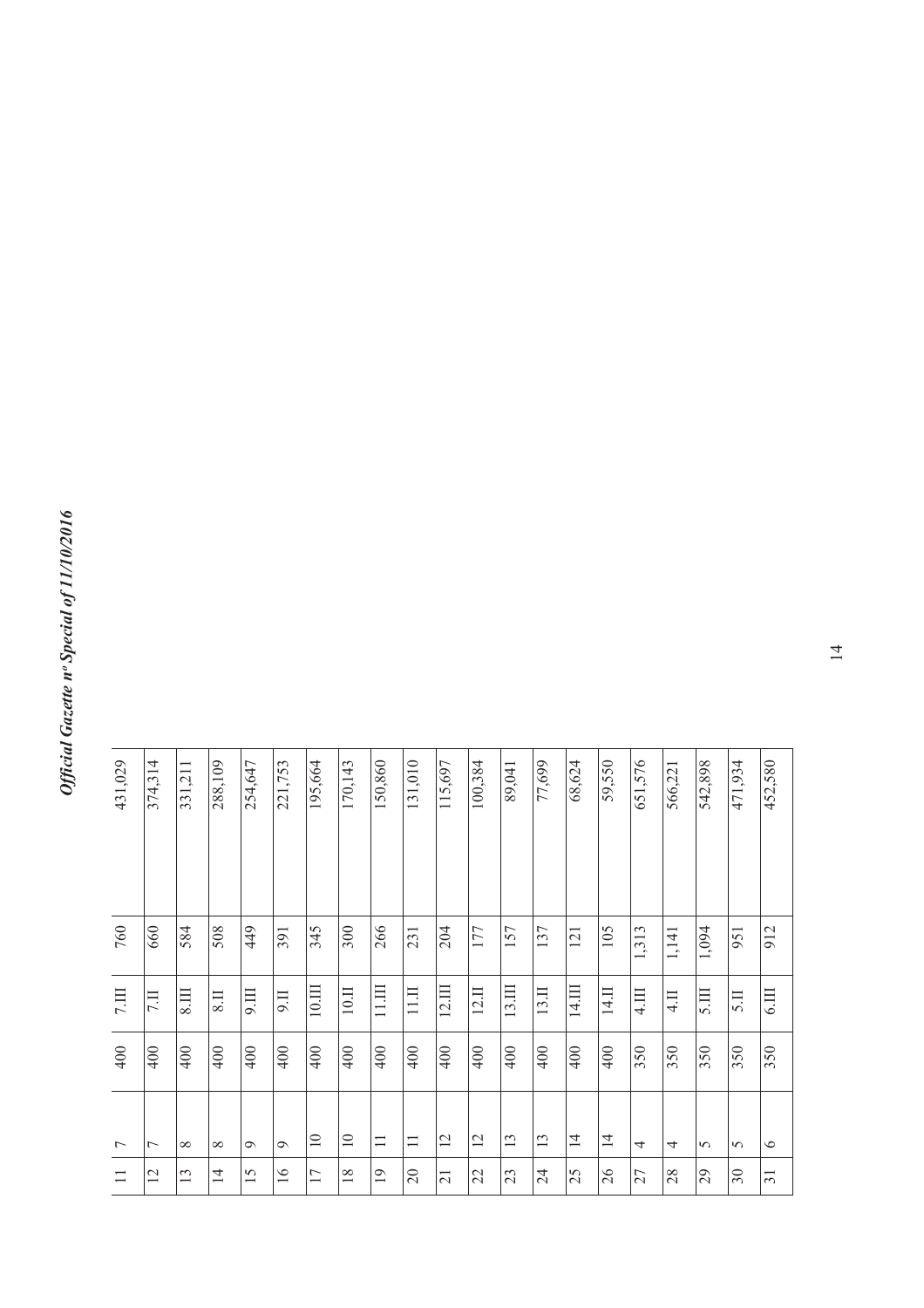| 195,664<br>374,314<br>288,109<br>254,647<br>221,753<br>331,211 |                |                         |                 |                 |                 |                   | 170,143         | 150,860         | 131,010  | 115,697         | 100,384 | 89,041            | 77,699 | 68,624         | 59,550          | 651,576 | 566,221        | 542,898 | 471,934 | 452,580         |
|----------------------------------------------------------------|----------------|-------------------------|-----------------|-----------------|-----------------|-------------------|-----------------|-----------------|----------|-----------------|---------|-------------------|--------|----------------|-----------------|---------|----------------|---------|---------|-----------------|
|                                                                |                |                         |                 |                 |                 |                   |                 |                 |          |                 |         |                   |        |                |                 |         |                |         |         |                 |
| 660                                                            |                | 584                     | 508             | 449             | 391             | 345               | 300             | 266             | 231      | 204             | 177     | 157               | 137    | 121            | 105             | 1,313   | 1,141          | 1,094   | 951     | 912             |
| <b>II</b>                                                      |                | $\overline{\text{III}}$ | 8 <sub>II</sub> | 9.111           | $\overline{11}$ | $10,\mathrm{III}$ | $10.11$         | 11.III          | 11.11    | 12.11           | 12.11   | $13 \overline{m}$ | 13.II  | 14.III         | 14.II           | 4.III   | $\overline{4}$ | 5.111   | 5.1     | 6.111           |
| 400                                                            |                | 400                     | 400             | 400             | 400             | 400               | 400             | 400             | 400      | 400             | 400     | 400               | 400    | 400            | $\frac{1}{400}$ | 350     | 350            | 350     | 350     | 350             |
| $\overline{ }$                                                 |                | $\infty$                | $\infty$        | $\circ$         | $\circ$         | $\overline{10}$   | $\overline{10}$ | $\equiv$        | $\equiv$ | 12              | 12      | 13                | 13     | $\overline{1}$ | $\overline{4}$  | 4       | 4              | $\sim$  | $\sim$  | $\circ$         |
|                                                                | $\overline{2}$ | 13                      | 4               | $\overline{15}$ | $\overline{16}$ | 17                | 18              | $\overline{19}$ | 20       | $\overline{21}$ | 22      | 23                | 24     | 25             | 26              | 27      | 28             | 29      | 30      | $\overline{31}$ |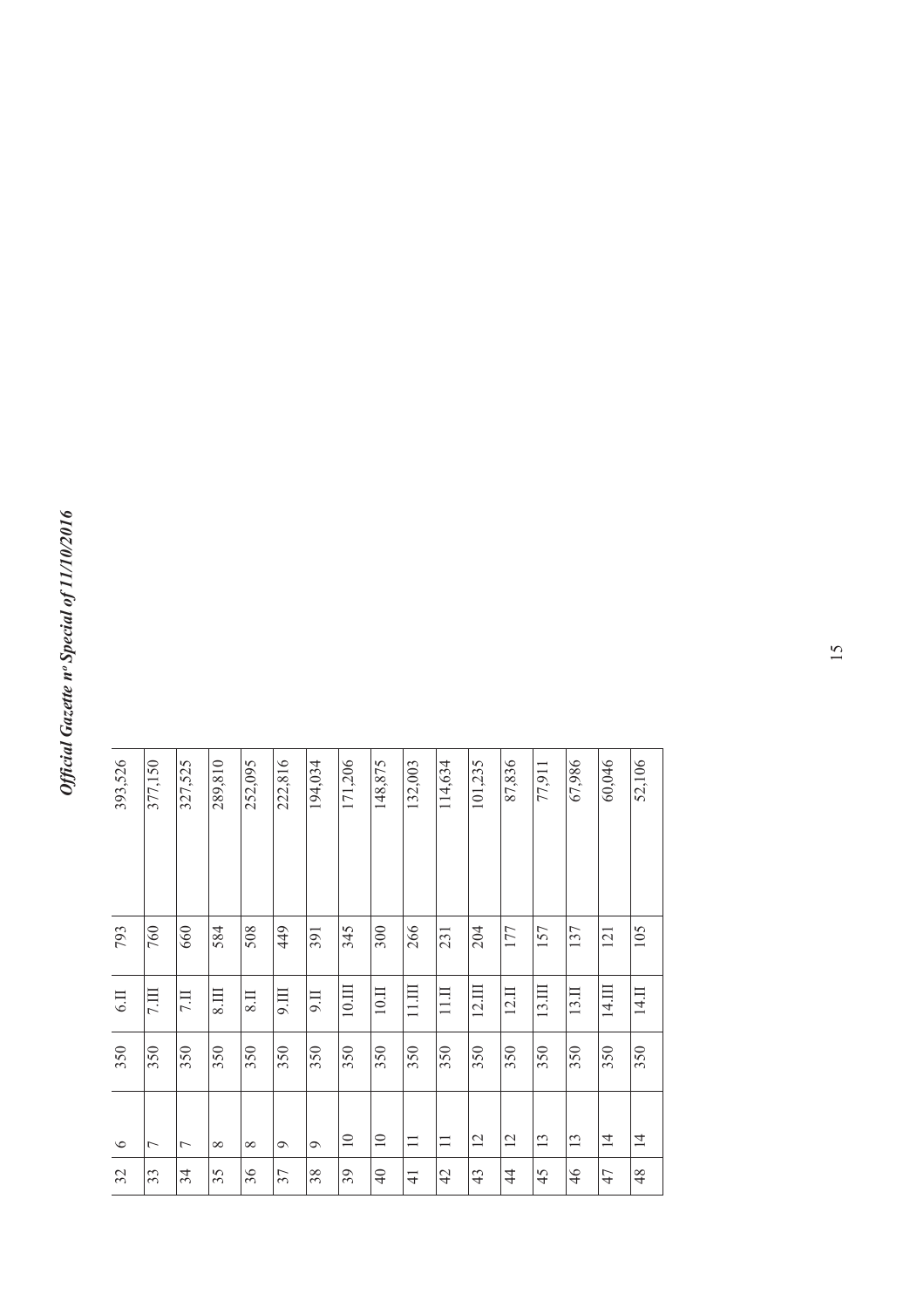| 52,106  | 105 | 14.II             | 350 | $\overline{4}$  | 48             |
|---------|-----|-------------------|-----|-----------------|----------------|
| 60,046  | 121 | 14.III            | 350 | $\overline{4}$  | 47             |
| 67,986  | 137 | 13.II             | 350 | 13              | 46             |
| 77,911  | 157 | 13.III            | 350 | 13              | 45             |
| 87,836  | 177 | 12.II             | 350 | 12              | $\frac{4}{4}$  |
| 101,235 | 204 | 12.11             | 350 | 12              | 43             |
| 114,634 | 231 | 11.11             | 350 | $\Box$          | $\overline{4}$ |
| 132,003 | 266 | $11.1\text{III}$  | 350 | $\Box$          | $\frac{1}{4}$  |
| 148,875 | 300 | $10. \mathrm{II}$ | 350 | $\overline{10}$ | $\overline{4}$ |
| 171,206 | 345 | $10.\mathrm{III}$ | 350 | $\equiv$        | 39             |
| 194,034 | 391 | 9.11              | 350 | $\sigma$        | 38             |
| 222,816 | 449 | $\overline{III}$  | 350 | $\sigma$        | 37             |
| 252,095 | 508 | $\overline{118}$  | 350 | $\infty$        | 36             |
| 289,810 | 584 | 8.111             | 350 | $\infty$        | 35             |
| 327,525 | 660 | <b>II</b>         | 350 | $\overline{ }$  | 34             |
| 377,150 | 760 | 7.111             | 350 | $\overline{ }$  | 33             |
| 393,526 | 793 | 6.11              | 350 | $\circ$         | 32             |